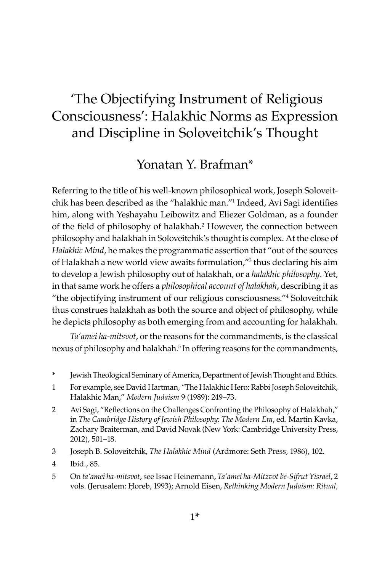# 'The Objectifying Instrument of Religious Consciousness': Halakhic Norms as Expression and Discipline in Soloveitchik's Thought

# Yonatan Y. Brafman\*

Referring to the title of his well-known philosophical work, Joseph Soloveitchik has been described as the "halakhic man."1 Indeed, Avi Sagi identifies him, along with Yeshayahu Leibowitz and Eliezer Goldman, as a founder of the field of philosophy of halakhah.<sup>2</sup> However, the connection between philosophy and halakhah in Soloveitchik's thought is complex. At the close of *Halakhic Mind*, he makes the programmatic assertion that "out of the sources of Halakhah a new world view awaits formulation,"<sup>3</sup> thus declaring his aim to develop a Jewish philosophy out of halakhah, or a *halakhic philosophy*. Yet, in that same work he offers a *philosophical account of halakhah*, describing it as "the objectifying instrument of our religious consciousness."4 Soloveitchik thus construes halakhah as both the source and object of philosophy, while he depicts philosophy as both emerging from and accounting for halakhah.

*Ta'amei ha-mitsvot*, or the reasons for the commandments, is the classical nexus of philosophy and halakhah.<sup>5</sup> In offering reasons for the commandments,

- \* Jewish Theological Seminary of America, Department of Jewish Thought and Ethics.
- 1 For example, see David Hartman, "The Halakhic Hero: Rabbi Joseph Soloveitchik, Halakhic Man," *Modern Judaism* 9 (1989): 249–73.
- 2 Avi Sagi, "Reflections on the Challenges Confronting the Philosophy of Halakhah," in *The Cambridge History of Jewish Philosophy: The Modern Era*, ed. Martin Kavka, Zachary Braiterman, and David Novak (New York: Cambridge University Press, 2012), 501–18.
- 3 Joseph B. Soloveitchik, *The Halakhic Mind* (Ardmore: Seth Press, 1986), 102.
- 4 Ibid., 85.
- 5 On *ta'amei ha-mitsvot*, see Issac Heinemann, *Ta'amei ha-Mitzvot be-Sifrut Yisrael*, 2 vols. (Jerusalem: Ḥoreb, 1993); Arnold Eisen, *Rethinking Modern Judaism: Ritual,*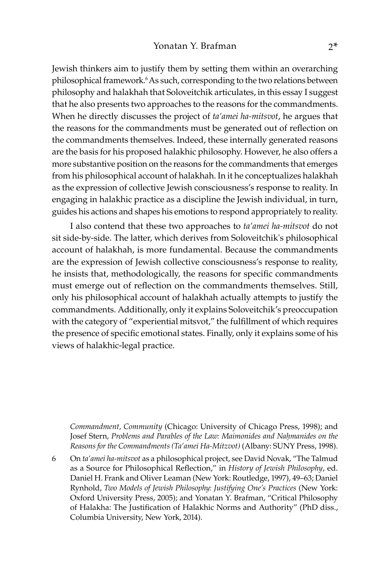Jewish thinkers aim to justify them by setting them within an overarching philosophical framework.<sup>6</sup> As such, corresponding to the two relations between philosophy and halakhah that Soloveitchik articulates, in this essay I suggest that he also presents two approaches to the reasons for the commandments. When he directly discusses the project of *ta'amei ha-mitsvot*, he argues that the reasons for the commandments must be generated out of reflection on the commandments themselves. Indeed, these internally generated reasons are the basis for his proposed halakhic philosophy. However, he also offers a more substantive position on the reasons for the commandments that emerges from his philosophical account of halakhah. In it he conceptualizes halakhah as the expression of collective Jewish consciousness's response to reality. In engaging in halakhic practice as a discipline the Jewish individual, in turn, guides his actions and shapes his emotions to respond appropriately to reality.

I also contend that these two approaches to *ta'amei ha-mitsvot* do not sit side-by-side. The latter, which derives from Soloveitchik's philosophical account of halakhah, is more fundamental. Because the commandments are the expression of Jewish collective consciousness's response to reality, he insists that, methodologically, the reasons for specific commandments must emerge out of reflection on the commandments themselves. Still, only his philosophical account of halakhah actually attempts to justify the commandments. Additionally, only it explains Soloveitchik's preoccupation with the category of "experiential mitsvot," the fulfillment of which requires the presence of specific emotional states. Finally, only it explains some of his views of halakhic-legal practice.

*Commandment, Community* (Chicago: University of Chicago Press, 1998); and Josef Stern, *Problems and Parables of the Law: Maimonides and Naḥmanides on the Reasons for the Commandments (Ta'amei Ha-Mitzvot)* (Albany: SUNY Press, 1998).

6 On *ta'amei ha-mitsvot* as a philosophical project, see David Novak, "The Talmud as a Source for Philosophical Reflection," in *History of Jewish Philosophy*, ed. Daniel H. Frank and Oliver Leaman (New York: Routledge, 1997), 49–63; Daniel Rynhold, *Two Models of Jewish Philosophy: Justifying One's Practices* (New York: Oxford University Press, 2005); and Yonatan Y. Brafman, "Critical Philosophy of Halakha: The Justification of Halakhic Norms and Authority" (PhD diss., Columbia University, New York, 2014).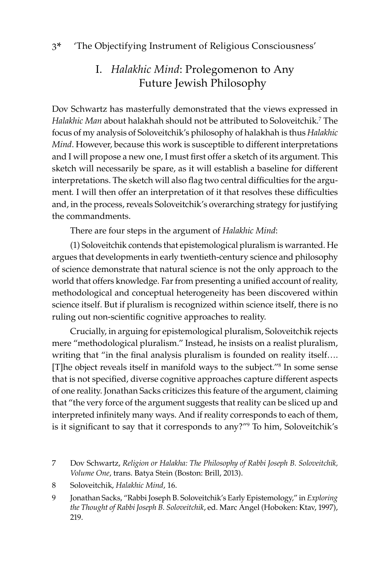# I. *Halakhic Mind*: Prolegomenon to Any Future Jewish Philosophy

Dov Schwartz has masterfully demonstrated that the views expressed in *Halakhic Man* about halakhah should not be attributed to Soloveitchik.7 The focus of my analysis of Soloveitchik's philosophy of halakhah is thus *Halakhic Mind*. However, because this work is susceptible to different interpretations and I will propose a new one, I must first offer a sketch of its argument. This sketch will necessarily be spare, as it will establish a baseline for different interpretations. The sketch will also flag two central difficulties for the argument*.* I will then offer an interpretation of it that resolves these difficulties and, in the process, reveals Soloveitchik's overarching strategy for justifying the commandments.

There are four steps in the argument of *Halakhic Mind*:

(1) Soloveitchik contends that epistemological pluralism is warranted. He argues that developments in early twentieth-century science and philosophy of science demonstrate that natural science is not the only approach to the world that offers knowledge. Far from presenting a unified account of reality, methodological and conceptual heterogeneity has been discovered within science itself. But if pluralism is recognized within science itself, there is no ruling out non-scientific cognitive approaches to reality.

Crucially, in arguing for epistemological pluralism, Soloveitchik rejects mere "methodological pluralism." Instead, he insists on a realist pluralism, writing that "in the final analysis pluralism is founded on reality itself…. [T]he object reveals itself in manifold ways to the subject."8 In some sense that is not specified, diverse cognitive approaches capture different aspects of one reality. Jonathan Sacks criticizes this feature of the argument, claiming that "the very force of the argument suggests that reality can be sliced up and interpreted infinitely many ways. And if reality corresponds to each of them, is it significant to say that it corresponds to any?"<sup>9</sup> To him, Soloveitchik's

- 7 Dov Schwartz, *Religion or Halakha: The Philosophy of Rabbi Joseph B. Soloveitchik, Volume One*, trans. Batya Stein (Boston: Brill, 2013).
- 8 Soloveitchik, *Halakhic Mind*, 16.
- 9 Jonathan Sacks, "Rabbi Joseph B. Soloveitchik's Early Epistemology," in *Exploring the Thought of Rabbi Joseph B. Soloveitchik*, ed. Marc Angel (Hoboken: Ktav, 1997), 219.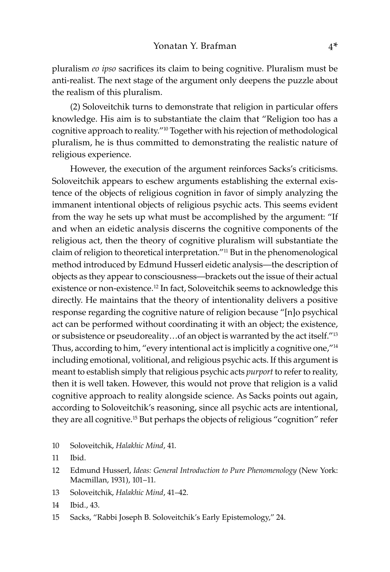pluralism *eo ipso* sacrifices its claim to being cognitive. Pluralism must be anti-realist. The next stage of the argument only deepens the puzzle about the realism of this pluralism.

(2) Soloveitchik turns to demonstrate that religion in particular offers knowledge. His aim is to substantiate the claim that "Religion too has a cognitive approach to reality."10 Together with his rejection of methodological pluralism, he is thus committed to demonstrating the realistic nature of religious experience.

However, the execution of the argument reinforces Sacks's criticisms. Soloveitchik appears to eschew arguments establishing the external existence of the objects of religious cognition in favor of simply analyzing the immanent intentional objects of religious psychic acts. This seems evident from the way he sets up what must be accomplished by the argument: "If and when an eidetic analysis discerns the cognitive components of the religious act, then the theory of cognitive pluralism will substantiate the claim of religion to theoretical interpretation."11 But in the phenomenological method introduced by Edmund Husserl eidetic analysis—the description of objects as they appear to consciousness—brackets out the issue of their actual existence or non-existence.<sup>12</sup> In fact, Soloveitchik seems to acknowledge this directly. He maintains that the theory of intentionality delivers a positive response regarding the cognitive nature of religion because "[n]o psychical act can be performed without coordinating it with an object; the existence, or subsistence or pseudoreality…of an object is warranted by the act itself."<sup>13</sup> Thus, according to him, "every intentional act is implicitly a cognitive one,"<sup>14</sup> including emotional, volitional, and religious psychic acts. If this argument is meant to establish simply that religious psychic acts *purport* to refer to reality, then it is well taken. However, this would not prove that religion is a valid cognitive approach to reality alongside science. As Sacks points out again, according to Soloveitchik's reasoning, since all psychic acts are intentional, they are all cognitive.15 But perhaps the objects of religious "cognition" refer

10 Soloveitchik, *Halakhic Mind*, 41.

- 13 Soloveitchik, *Halakhic Mind*, 41–42.
- 14 Ibid., 43.
- 15 Sacks, "Rabbi Joseph B. Soloveitchik's Early Epistemology," 24.

<sup>11</sup> Ibid.

<sup>12</sup> Edmund Husserl, *Ideas: General Introduction to Pure Phenomenology* (New York: Macmillan, 1931), 101–11.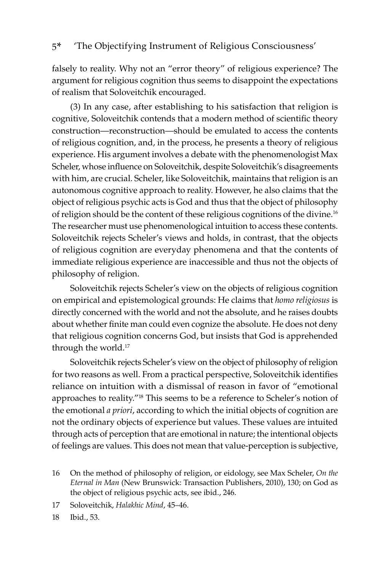falsely to reality. Why not an "error theory" of religious experience? The argument for religious cognition thus seems to disappoint the expectations of realism that Soloveitchik encouraged.

(3) In any case, after establishing to his satisfaction that religion is cognitive, Soloveitchik contends that a modern method of scientific theory construction—reconstruction—should be emulated to access the contents of religious cognition, and, in the process, he presents a theory of religious experience. His argument involves a debate with the phenomenologist Max Scheler, whose influence on Soloveitchik, despite Soloveitchik's disagreements with him, are crucial. Scheler, like Soloveitchik, maintains that religion is an autonomous cognitive approach to reality. However, he also claims that the object of religious psychic acts is God and thus that the object of philosophy of religion should be the content of these religious cognitions of the divine.<sup>16</sup> The researcher must use phenomenological intuition to access these contents. Soloveitchik rejects Scheler's views and holds, in contrast, that the objects of religious cognition are everyday phenomena and that the contents of immediate religious experience are inaccessible and thus not the objects of philosophy of religion.

Soloveitchik rejects Scheler's view on the objects of religious cognition on empirical and epistemological grounds: He claims that *homo religiosus* is directly concerned with the world and not the absolute, and he raises doubts about whether finite man could even cognize the absolute. He does not deny that religious cognition concerns God, but insists that God is apprehended through the world.<sup>17</sup>

Soloveitchik rejects Scheler's view on the object of philosophy of religion for two reasons as well. From a practical perspective, Soloveitchik identifies reliance on intuition with a dismissal of reason in favor of "emotional approaches to reality."18 This seems to be a reference to Scheler's notion of the emotional *a priori*, according to which the initial objects of cognition are not the ordinary objects of experience but values. These values are intuited through acts of perception that are emotional in nature; the intentional objects of feelings are values. This does not mean that value-perception is subjective,

18 Ibid., 53.

<sup>16</sup> On the method of philosophy of religion, or eidology, see Max Scheler, *On the Eternal in Man* (New Brunswick: Transaction Publishers, 2010), 130; on God as the object of religious psychic acts, see ibid., 246.

<sup>17</sup> Soloveitchik, *Halakhic Mind*, 45–46.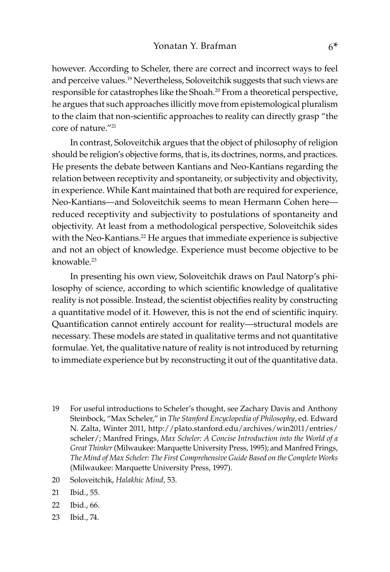however. According to Scheler, there are correct and incorrect ways to feel and perceive values.<sup>19</sup> Nevertheless, Soloveitchik suggests that such views are responsible for catastrophes like the Shoah.20 From a theoretical perspective, he argues that such approaches illicitly move from epistemological pluralism to the claim that non-scientific approaches to reality can directly grasp "the core of nature."<sup>21</sup>

In contrast, Soloveitchik argues that the object of philosophy of religion should be religion's objective forms, that is, its doctrines, norms, and practices. He presents the debate between Kantians and Neo-Kantians regarding the relation between receptivity and spontaneity, or subjectivity and objectivity, in experience. While Kant maintained that both are required for experience, Neo-Kantians—and Soloveitchik seems to mean Hermann Cohen here reduced receptivity and subjectivity to postulations of spontaneity and objectivity. At least from a methodological perspective, Soloveitchik sides with the Neo-Kantians.<sup>22</sup> He argues that immediate experience is subjective and not an object of knowledge. Experience must become objective to be knowable<sup>23</sup>

In presenting his own view, Soloveitchik draws on Paul Natorp's philosophy of science, according to which scientific knowledge of qualitative reality is not possible. Instead, the scientist objectifies reality by constructing a quantitative model of it. However, this is not the end of scientific inquiry. Quantification cannot entirely account for reality—structural models are necessary. These models are stated in qualitative terms and not quantitative formulae. Yet, the qualitative nature of reality is not introduced by returning to immediate experience but by reconstructing it out of the quantitative data.

- 19 For useful introductions to Scheler's thought, see Zachary Davis and Anthony Steinbock, "Max Scheler," in *The Stanford Encyclopedia of Philosophy*, ed. Edward N. Zalta, Winter 2011, http://plato.stanford.edu/archives/win2011/entries/ scheler/; Manfred Frings, *Max Scheler: A Concise Introduction into the World of a Great Thinker* (Milwaukee: Marquette University Press, 1995); and Manfred Frings, *The Mind of Max Scheler: The First Comprehensive Guide Based on the Complete Works* (Milwaukee: Marquette University Press, 1997).
- 20 Soloveitchik, *Halakhic Mind*, 53.
- 21 Ibid., 55.
- 22 Ibid., 66.
- 23 Ibid., 74.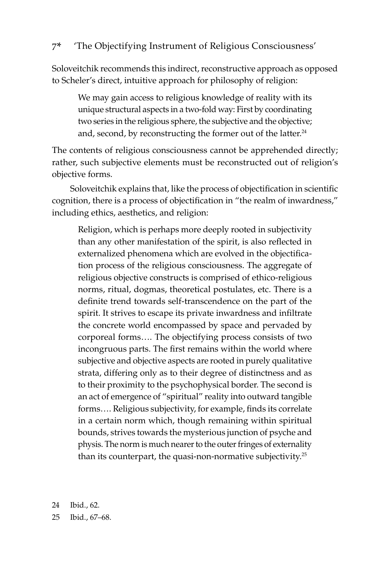Soloveitchik recommends this indirect, reconstructive approach as opposed to Scheler's direct, intuitive approach for philosophy of religion:

We may gain access to religious knowledge of reality with its unique structural aspects in a two-fold way: First by coordinating two series in the religious sphere, the subjective and the objective; and, second, by reconstructing the former out of the latter.<sup>24</sup>

The contents of religious consciousness cannot be apprehended directly; rather, such subjective elements must be reconstructed out of religion's objective forms.

Soloveitchik explains that, like the process of objectification in scientific cognition, there is a process of objectification in "the realm of inwardness," including ethics, aesthetics, and religion:

Religion, which is perhaps more deeply rooted in subjectivity than any other manifestation of the spirit, is also reflected in externalized phenomena which are evolved in the objectification process of the religious consciousness. The aggregate of religious objective constructs is comprised of ethico-religious norms, ritual, dogmas, theoretical postulates, etc. There is a definite trend towards self-transcendence on the part of the spirit. It strives to escape its private inwardness and infiltrate the concrete world encompassed by space and pervaded by corporeal forms…. The objectifying process consists of two incongruous parts. The first remains within the world where subjective and objective aspects are rooted in purely qualitative strata, differing only as to their degree of distinctness and as to their proximity to the psychophysical border. The second is an act of emergence of "spiritual" reality into outward tangible forms…. Religious subjectivity, for example, finds its correlate in a certain norm which, though remaining within spiritual bounds, strives towards the mysterious junction of psyche and physis. The norm is much nearer to the outer fringes of externality than its counterpart, the quasi-non-normative subjectivity.<sup>25</sup>

24 Ibid., 62.

25 Ibid., 67–68.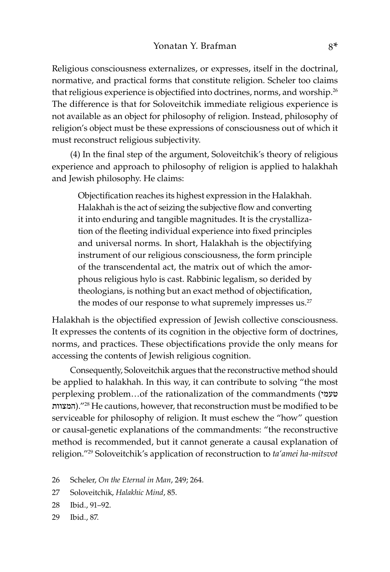Religious consciousness externalizes, or expresses, itself in the doctrinal, normative, and practical forms that constitute religion. Scheler too claims that religious experience is objectified into doctrines, norms, and worship.<sup>26</sup> The difference is that for Soloveitchik immediate religious experience is not available as an object for philosophy of religion. Instead, philosophy of religion's object must be these expressions of consciousness out of which it must reconstruct religious subjectivity.

(4) In the final step of the argument, Soloveitchik's theory of religious experience and approach to philosophy of religion is applied to halakhah and Jewish philosophy. He claims:

Objectification reaches its highest expression in the Halakhah. Halakhah is the act of seizing the subjective flow and converting it into enduring and tangible magnitudes. It is the crystallization of the fleeting individual experience into fixed principles and universal norms. In short, Halakhah is the objectifying instrument of our religious consciousness, the form principle of the transcendental act, the matrix out of which the amorphous religious hylo is cast. Rabbinic legalism, so derided by theologians, is nothing but an exact method of objectification, the modes of our response to what supremely impresses us.<sup>27</sup>

Halakhah is the objectified expression of Jewish collective consciousness. It expresses the contents of its cognition in the objective form of doctrines, norms, and practices. These objectifications provide the only means for accessing the contents of Jewish religious cognition.

Consequently, Soloveitchik argues that the reconstructive method should be applied to halakhah. In this way, it can contribute to solving "the most perplexing problem…of the rationalization of the commandments (טעמי המצוות(."28 He cautions, however, that reconstruction must be modified to be serviceable for philosophy of religion. It must eschew the "how" question or causal-genetic explanations of the commandments: "the reconstructive method is recommended, but it cannot generate a causal explanation of religion."29 Soloveitchik's application of reconstruction to *ta'amei ha-mitsvot* 

- 26 Scheler, *On the Eternal in Man*, 249; 264.
- 27 Soloveitchik, *Halakhic Mind*, 85.
- 28 Ibid., 91–92.
- 29 Ibid., 87.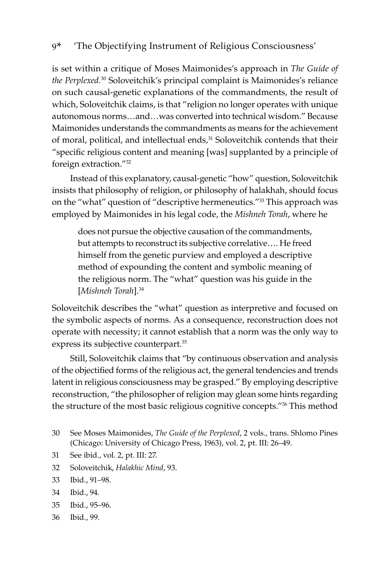is set within a critique of Moses Maimonides's approach in *The Guide of the Perplexed.*<sup>30</sup> Soloveitchik's principal complaint is Maimonides's reliance on such causal-genetic explanations of the commandments, the result of which, Soloveitchik claims, is that "religion no longer operates with unique autonomous norms…and…was converted into technical wisdom." Because Maimonides understands the commandments as means for the achievement of moral, political, and intellectual ends,<sup>31</sup> Soloveitchik contends that their "specific religious content and meaning [was] supplanted by a principle of foreign extraction."32

Instead of this explanatory, causal-genetic "how" question, Soloveitchik insists that philosophy of religion, or philosophy of halakhah, should focus on the "what" question of "descriptive hermeneutics."33 This approach was employed by Maimonides in his legal code, the *Mishneh Torah*, where he

does not pursue the objective causation of the commandments, but attempts to reconstruct its subjective correlative…. He freed himself from the genetic purview and employed a descriptive method of expounding the content and symbolic meaning of the religious norm. The "what" question was his guide in the [*Mishneh Torah*].34

Soloveitchik describes the "what" question as interpretive and focused on the symbolic aspects of norms. As a consequence, reconstruction does not operate with necessity; it cannot establish that a norm was the only way to express its subjective counterpart.35

Still, Soloveitchik claims that "by continuous observation and analysis of the objectified forms of the religious act, the general tendencies and trends latent in religious consciousness may be grasped." By employing descriptive reconstruction, "the philosopher of religion may glean some hints regarding the structure of the most basic religious cognitive concepts."<sup>36</sup> This method

- 31 See ibid., vol. 2, pt. III: 27.
- 32 Soloveitchik, *Halakhic Mind*, 93.
- 33 Ibid., 91–98.
- 34 Ibid., 94.
- 35 Ibid., 95–96.
- 36 Ibid., 99.

<sup>30</sup> See Moses Maimonides, *The Guide of the Perplexed*, 2 vols., trans. Shlomo Pines (Chicago: University of Chicago Press, 1963), vol. 2, pt. III: 26–49.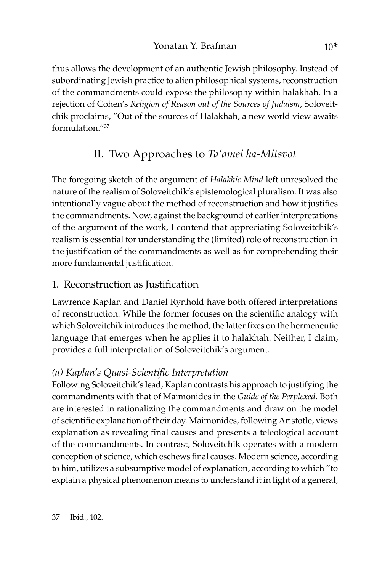thus allows the development of an authentic Jewish philosophy. Instead of subordinating Jewish practice to alien philosophical systems, reconstruction of the commandments could expose the philosophy within halakhah*.* In a rejection of Cohen's *Religion of Reason out of the Sources of Judaism*, Soloveitchik proclaims, "Out of the sources of Halakhah, a new world view awaits formulation."37

# II. Two Approaches to *Ta'amei ha-Mitsvot*

The foregoing sketch of the argument of *Halakhic Mind* left unresolved the nature of the realism of Soloveitchik's epistemological pluralism. It was also intentionally vague about the method of reconstruction and how it justifies the commandments. Now, against the background of earlier interpretations of the argument of the work, I contend that appreciating Soloveitchik's realism is essential for understanding the (limited) role of reconstruction in the justification of the commandments as well as for comprehending their more fundamental justification.

# 1. Reconstruction as Justification

Lawrence Kaplan and Daniel Rynhold have both offered interpretations of reconstruction: While the former focuses on the scientific analogy with which Soloveitchik introduces the method, the latter fixes on the hermeneutic language that emerges when he applies it to halakhah. Neither, I claim, provides a full interpretation of Soloveitchik's argument.

# *(a) Kaplan's Quasi-Scientific Interpretation*

Following Soloveitchik's lead, Kaplan contrasts his approach to justifying the commandments with that of Maimonides in the *Guide of the Perplexed*. Both are interested in rationalizing the commandments and draw on the model of scientific explanation of their day. Maimonides, following Aristotle, views explanation as revealing final causes and presents a teleological account of the commandments. In contrast, Soloveitchik operates with a modern conception of science, which eschews final causes. Modern science, according to him, utilizes a subsumptive model of explanation, according to which "to explain a physical phenomenon means to understand it in light of a general,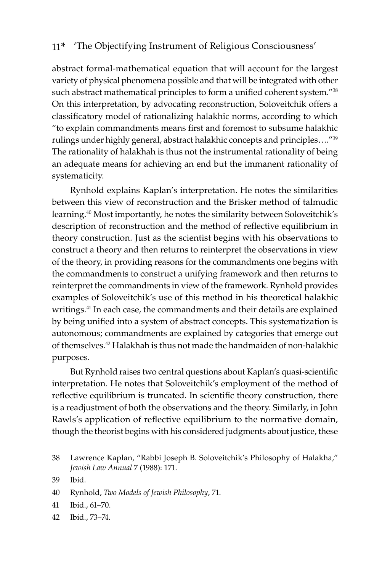abstract formal-mathematical equation that will account for the largest variety of physical phenomena possible and that will be integrated with other such abstract mathematical principles to form a unified coherent system."<sup>38</sup> On this interpretation, by advocating reconstruction, Soloveitchik offers a classificatory model of rationalizing halakhic norms, according to which "to explain commandments means first and foremost to subsume halakhic rulings under highly general, abstract halakhic concepts and principles…."<sup>39</sup> The rationality of halakhah is thus not the instrumental rationality of being an adequate means for achieving an end but the immanent rationality of systematicity.

Rynhold explains Kaplan's interpretation. He notes the similarities between this view of reconstruction and the Brisker method of talmudic learning.<sup>40</sup> Most importantly, he notes the similarity between Soloveitchik's description of reconstruction and the method of reflective equilibrium in theory construction. Just as the scientist begins with his observations to construct a theory and then returns to reinterpret the observations in view of the theory, in providing reasons for the commandments one begins with the commandments to construct a unifying framework and then returns to reinterpret the commandments in view of the framework. Rynhold provides examples of Soloveitchik's use of this method in his theoretical halakhic writings.<sup>41</sup> In each case, the commandments and their details are explained by being unified into a system of abstract concepts. This systematization is autonomous; commandments are explained by categories that emerge out of themselves.42 Halakhah is thus not made the handmaiden of non-halakhic purposes.

But Rynhold raises two central questions about Kaplan's quasi-scientific interpretation. He notes that Soloveitchik's employment of the method of reflective equilibrium is truncated. In scientific theory construction, there is a readjustment of both the observations and the theory. Similarly, in John Rawls's application of reflective equilibrium to the normative domain, though the theorist begins with his considered judgments about justice, these

42 Ibid., 73–74.

<sup>38</sup> Lawrence Kaplan, "Rabbi Joseph B. Soloveitchik's Philosophy of Halakha," *Jewish Law Annual* 7 (1988): 171.

<sup>39</sup> Ibid.

<sup>40</sup> Rynhold, *Two Models of Jewish Philosophy*, 71.

<sup>41</sup> Ibid., 61–70.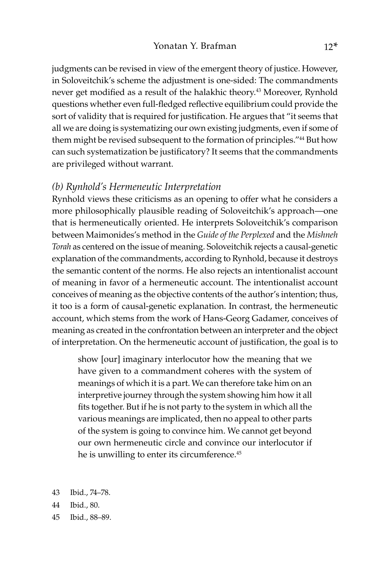judgments can be revised in view of the emergent theory of justice. However, in Soloveitchik's scheme the adjustment is one-sided: The commandments never get modified as a result of the halakhic theory.<sup>43</sup> Moreover, Rynhold questions whether even full-fledged reflective equilibrium could provide the sort of validity that is required for justification. He argues that "it seems that all we are doing is systematizing our own existing judgments, even if some of them might be revised subsequent to the formation of principles."<sup>44</sup> But how can such systematization be justificatory? It seems that the commandments are privileged without warrant.

#### *(b) Rynhold's Hermeneutic Interpretation*

Rynhold views these criticisms as an opening to offer what he considers a more philosophically plausible reading of Soloveitchik's approach—one that is hermeneutically oriented. He interprets Soloveitchik's comparison between Maimonides's method in the *Guide of the Perplexed* and the *Mishneh Torah* as centered on the issue of meaning. Soloveitchik rejects a causal-genetic explanation of the commandments, according to Rynhold, because it destroys the semantic content of the norms. He also rejects an intentionalist account of meaning in favor of a hermeneutic account. The intentionalist account conceives of meaning as the objective contents of the author's intention; thus, it too is a form of causal-genetic explanation. In contrast, the hermeneutic account, which stems from the work of Hans-Georg Gadamer, conceives of meaning as created in the confrontation between an interpreter and the object of interpretation. On the hermeneutic account of justification, the goal is to

show [our] imaginary interlocutor how the meaning that we have given to a commandment coheres with the system of meanings of which it is a part. We can therefore take him on an interpretive journey through the system showing him how it all fits together. But if he is not party to the system in which all the various meanings are implicated, then no appeal to other parts of the system is going to convince him. We cannot get beyond our own hermeneutic circle and convince our interlocutor if he is unwilling to enter its circumference.<sup>45</sup>

- 43 Ibid., 74–78.
- 44 Ibid., 80.
- 45 Ibid., 88–89.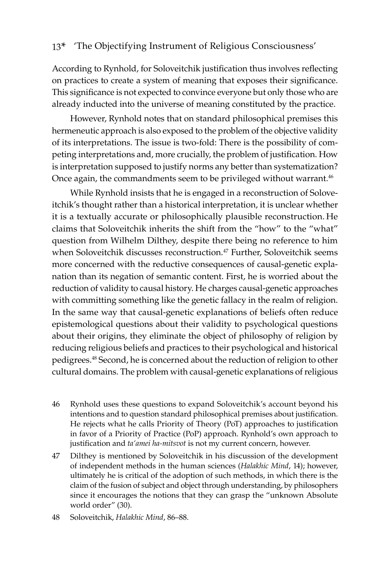According to Rynhold, for Soloveitchik justification thus involves reflecting on practices to create a system of meaning that exposes their significance. This significance is not expected to convince everyone but only those who are already inducted into the universe of meaning constituted by the practice.

However, Rynhold notes that on standard philosophical premises this hermeneutic approach is also exposed to the problem of the objective validity of its interpretations. The issue is two-fold: There is the possibility of competing interpretations and, more crucially, the problem of justification. How is interpretation supposed to justify norms any better than systematization? Once again, the commandments seem to be privileged without warrant.<sup>46</sup>

While Rynhold insists that he is engaged in a reconstruction of Soloveitchik's thought rather than a historical interpretation, it is unclear whether it is a textually accurate or philosophically plausible reconstruction. He claims that Soloveitchik inherits the shift from the "how" to the "what" question from Wilhelm Dilthey, despite there being no reference to him when Soloveitchik discusses reconstruction.<sup>47</sup> Further, Soloveitchik seems more concerned with the reductive consequences of causal-genetic explanation than its negation of semantic content. First, he is worried about the reduction of validity to causal history. He charges causal-genetic approaches with committing something like the genetic fallacy in the realm of religion. In the same way that causal-genetic explanations of beliefs often reduce epistemological questions about their validity to psychological questions about their origins, they eliminate the object of philosophy of religion by reducing religious beliefs and practices to their psychological and historical pedigrees.<sup>48</sup> Second, he is concerned about the reduction of religion to other cultural domains. The problem with causal-genetic explanations of religious

- 46 Rynhold uses these questions to expand Soloveitchik's account beyond his intentions and to question standard philosophical premises about justification. He rejects what he calls Priority of Theory (PoT) approaches to justification in favor of a Priority of Practice (PoP) approach. Rynhold's own approach to justification and *ta'amei ha-mitsvot* is not my current concern, however.
- 47 Dilthey is mentioned by Soloveitchik in his discussion of the development of independent methods in the human sciences (*Halakhic Mind*, 14); however, ultimately he is critical of the adoption of such methods, in which there is the claim of the fusion of subject and object through understanding, by philosophers since it encourages the notions that they can grasp the "unknown Absolute world order" (30).
- 48 Soloveitchik, *Halakhic Mind*, 86–88.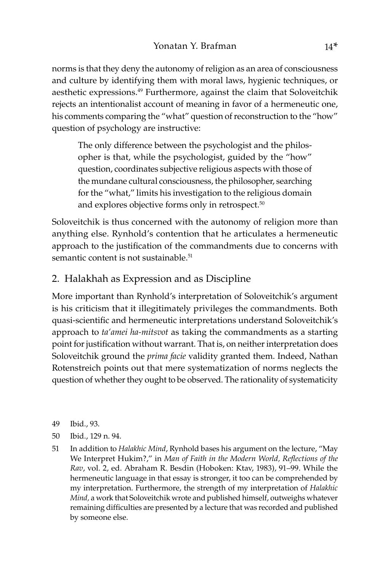norms is that they deny the autonomy of religion as an area of consciousness and culture by identifying them with moral laws, hygienic techniques, or aesthetic expressions.49 Furthermore, against the claim that Soloveitchik rejects an intentionalist account of meaning in favor of a hermeneutic one, his comments comparing the "what" question of reconstruction to the "how" question of psychology are instructive:

The only difference between the psychologist and the philosopher is that, while the psychologist, guided by the "how" question, coordinates subjective religious aspects with those of the mundane cultural consciousness, the philosopher, searching for the "what," limits his investigation to the religious domain and explores objective forms only in retrospect.<sup>50</sup>

Soloveitchik is thus concerned with the autonomy of religion more than anything else. Rynhold's contention that he articulates a hermeneutic approach to the justification of the commandments due to concerns with semantic content is not sustainable.<sup>51</sup>

# 2. Halakhah as Expression and as Discipline

More important than Rynhold's interpretation of Soloveitchik's argument is his criticism that it illegitimately privileges the commandments. Both quasi-scientific and hermeneutic interpretations understand Soloveitchik's approach to *ta'amei ha-mitsvot* as taking the commandments as a starting point for justification without warrant. That is, on neither interpretation does Soloveitchik ground the *prima facie* validity granted them. Indeed, Nathan Rotenstreich points out that mere systematization of norms neglects the question of whether they ought to be observed. The rationality of systematicity

- 49 Ibid., 93.
- 50 Ibid., 129 n. 94.
- 51 In addition to *Halakhic Mind*, Rynhold bases his argument on the lecture, "May We Interpret Hukim?," in *Man of Faith in the Modern World, Reflections of the Rav*, vol. 2, ed. Abraham R. Besdin (Hoboken: Ktav, 1983), 91–99. While the hermeneutic language in that essay is stronger, it too can be comprehended by my interpretation. Furthermore, the strength of my interpretation of *Halakhic Mind,* a work that Soloveitchik wrote and published himself, outweighs whatever remaining difficulties are presented by a lecture that was recorded and published by someone else.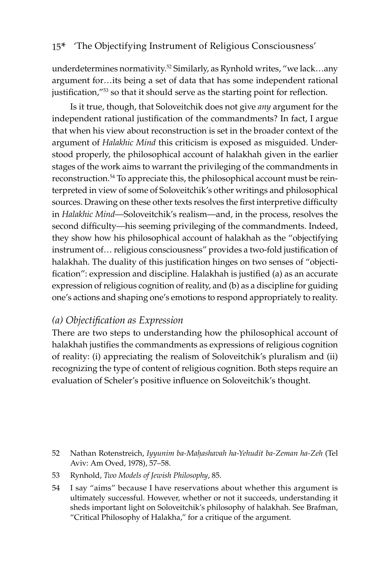underdetermines normativity.<sup>52</sup> Similarly, as Rynhold writes, "we lack...any argument for…its being a set of data that has some independent rational justification,"<sup>53</sup> so that it should serve as the starting point for reflection.

Is it true, though, that Soloveitchik does not give *any* argument for the independent rational justification of the commandments? In fact, I argue that when his view about reconstruction is set in the broader context of the argument of *Halakhic Mind* this criticism is exposed as misguided. Understood properly, the philosophical account of halakhah given in the earlier stages of the work aims to warrant the privileging of the commandments in reconstruction.54 To appreciate this, the philosophical account must be reinterpreted in view of some of Soloveitchik's other writings and philosophical sources. Drawing on these other texts resolves the first interpretive difficulty in *Halakhic Mind*—Soloveitchik's realism—and, in the process, resolves the second difficulty—his seeming privileging of the commandments. Indeed, they show how his philosophical account of halakhah as the "objectifying instrument of… religious consciousness" provides a two-fold justification of halakhah. The duality of this justification hinges on two senses of "objectification": expression and discipline. Halakhah is justified (a) as an accurate expression of religious cognition of reality, and (b) as a discipline for guiding one's actions and shaping one's emotions to respond appropriately to reality.

## *(a) Objectification as Expression*

There are two steps to understanding how the philosophical account of halakhah justifies the commandments as expressions of religious cognition of reality: (i) appreciating the realism of Soloveitchik's pluralism and (ii) recognizing the type of content of religious cognition. Both steps require an evaluation of Scheler's positive influence on Soloveitchik's thought.

52 Nathan Rotenstreich, *Iyyunim ba-Maḥashavah ha-Yehudit ba-Zeman ha-Zeh* (Tel Aviv: Am Oved, 1978), 57–58.

53 Rynhold, *Two Models of Jewish Philosophy*, 85.

54 I say "aims" because I have reservations about whether this argument is ultimately successful. However, whether or not it succeeds, understanding it sheds important light on Soloveitchik's philosophy of halakhah. See Brafman, "Critical Philosophy of Halakha," for a critique of the argument.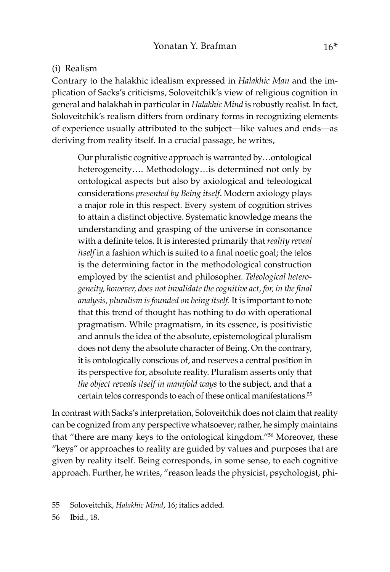#### (i) Realism

Contrary to the halakhic idealism expressed in *Halakhic Man* and the implication of Sacks's criticisms, Soloveitchik's view of religious cognition in general and halakhah in particular in *Halakhic Mind* is robustly realist. In fact, Soloveitchik's realism differs from ordinary forms in recognizing elements of experience usually attributed to the subject—like values and ends—as deriving from reality itself. In a crucial passage, he writes,

Our pluralistic cognitive approach is warranted by…ontological heterogeneity…. Methodology…is determined not only by ontological aspects but also by axiological and teleological considerations *presented by Being itself*. Modern axiology plays a major role in this respect. Every system of cognition strives to attain a distinct objective. Systematic knowledge means the understanding and grasping of the universe in consonance with a definite telos. It is interested primarily that *reality reveal itself* in a fashion which is suited to a final noetic goal; the telos is the determining factor in the methodological construction employed by the scientist and philosopher. *Teleological heterogeneity, however, does not invalidate the cognitive act, for, in the final analysis, pluralism is founded on being itself.* It is important to note that this trend of thought has nothing to do with operational pragmatism. While pragmatism, in its essence, is positivistic and annuls the idea of the absolute, epistemological pluralism does not deny the absolute character of Being. On the contrary, it is ontologically conscious of, and reserves a central position in its perspective for, absolute reality. Pluralism asserts only that *the object reveals itself in manifold ways* to the subject, and that a certain telos corresponds to each of these ontical manifestations.55

In contrast with Sacks's interpretation, Soloveitchik does not claim that reality can be cognized from any perspective whatsoever; rather, he simply maintains that "there are many keys to the ontological kingdom."<sup>56</sup> Moreover, these "keys" or approaches to reality are guided by values and purposes that are given by reality itself. Being corresponds, in some sense, to each cognitive approach. Further, he writes, "reason leads the physicist, psychologist, phi-

55 Soloveitchik, *Halakhic Mind*, 16; italics added.

56 Ibid., 18.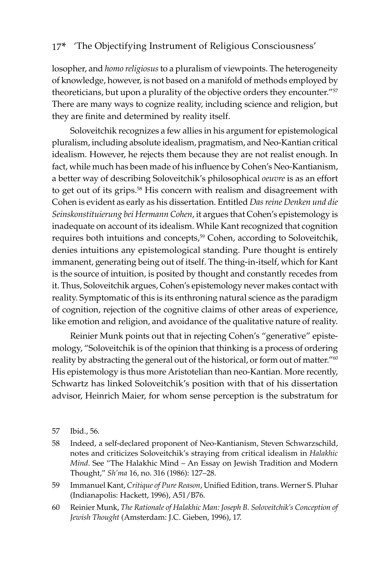losopher, and *homo religiosus* to a pluralism of viewpoints. The heterogeneity of knowledge, however, is not based on a manifold of methods employed by theoreticians, but upon a plurality of the objective orders they encounter."<sup>57</sup> There are many ways to cognize reality, including science and religion, but they are finite and determined by reality itself.

Soloveitchik recognizes a few allies in his argument for epistemological pluralism, including absolute idealism, pragmatism, and Neo-Kantian critical idealism. However, he rejects them because they are not realist enough. In fact, while much has been made of his influence by Cohen's Neo-Kantianism, a better way of describing Soloveitchik's philosophical *oeuvre* is as an effort to get out of its grips.<sup>58</sup> His concern with realism and disagreement with Cohen is evident as early as his dissertation. Entitled *Das reine Denken und die Seinskonstituierung bei Hermann Cohen*, it argues that Cohen's epistemology is inadequate on account of its idealism. While Kant recognized that cognition requires both intuitions and concepts,<sup>59</sup> Cohen, according to Soloveitchik, denies intuitions any epistemological standing. Pure thought is entirely immanent, generating being out of itself. The thing-in-itself, which for Kant is the source of intuition, is posited by thought and constantly recedes from it. Thus, Soloveitchik argues, Cohen's epistemology never makes contact with reality. Symptomatic of this is its enthroning natural science as the paradigm of cognition, rejection of the cognitive claims of other areas of experience, like emotion and religion, and avoidance of the qualitative nature of reality.

Reinier Munk points out that in rejecting Cohen's "generative" epistemology, "Soloveitchik is of the opinion that thinking is a process of ordering reality by abstracting the general out of the historical, or form out of matter."<sup>60</sup> His epistemology is thus more Aristotelian than neo-Kantian. More recently, Schwartz has linked Soloveitchik's position with that of his dissertation advisor, Heinrich Maier, for whom sense perception is the substratum for

- 58 Indeed, a self-declared proponent of Neo-Kantianism, Steven Schwarzschild, notes and criticizes Soloveitchik's straying from critical idealism in *Halakhic Mind*. See "The Halakhic Mind – An Essay on Jewish Tradition and Modern Thought," *Sh'ma* 16, no. 316 (1986): 127–28.
- 59 Immanuel Kant, *Critique of Pure Reason*, Unified Edition, trans. Werner S. Pluhar (Indianapolis: Hackett, 1996), A51/B76.
- 60 Reinier Munk, *The Rationale of Halakhic Man: Joseph B. Soloveitchik's Conception of Jewish Thought* (Amsterdam: J.C. Gieben, 1996), 17.

<sup>57</sup> Ibid., 56.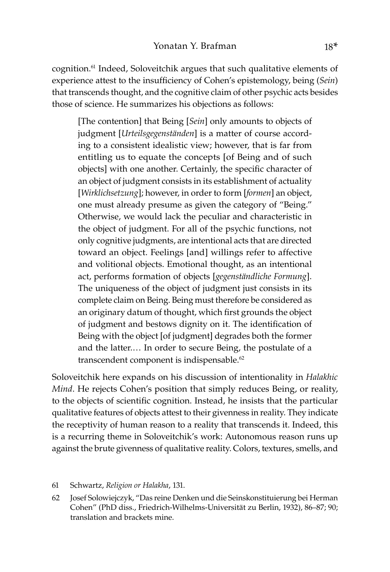cognition.61 Indeed, Soloveitchik argues that such qualitative elements of experience attest to the insufficiency of Cohen's epistemology, being (*Sein*) that transcends thought, and the cognitive claim of other psychic acts besides those of science. He summarizes his objections as follows:

[The contention] that Being [*Sein*] only amounts to objects of judgment [*Urteilsgegenständen*] is a matter of course according to a consistent idealistic view; however, that is far from entitling us to equate the concepts [of Being and of such objects] with one another. Certainly, the specific character of an object of judgment consists in its establishment of actuality [*Wirklichsetzung*]; however, in order to form [*formen*] an object, one must already presume as given the category of "Being." Otherwise, we would lack the peculiar and characteristic in the object of judgment. For all of the psychic functions, not only cognitive judgments, are intentional acts that are directed toward an object. Feelings [and] willings refer to affective and volitional objects. Emotional thought, as an intentional act, performs formation of objects [*gegenständliche Formung*]. The uniqueness of the object of judgment just consists in its complete claim on Being. Being must therefore be considered as an originary datum of thought, which first grounds the object of judgment and bestows dignity on it. The identification of Being with the object [of judgment] degrades both the former and the latter.… In order to secure Being, the postulate of a transcendent component is indispensable.<sup>62</sup>

Soloveitchik here expands on his discussion of intentionality in *Halakhic Mind*. He rejects Cohen's position that simply reduces Being, or reality, to the objects of scientific cognition. Instead, he insists that the particular qualitative features of objects attest to their givenness in reality. They indicate the receptivity of human reason to a reality that transcends it. Indeed, this is a recurring theme in Soloveitchik's work: Autonomous reason runs up against the brute givenness of qualitative reality. Colors, textures, smells, and

- 61 Schwartz, *Religion or Halakha*, 131.
- 62 Josef Solowiejczyk, "Das reine Denken und die Seinskonstituierung bei Herman Cohen" (PhD diss., Friedrich-Wilhelms-Universität zu Berlin, 1932), 86–87; 90; translation and brackets mine.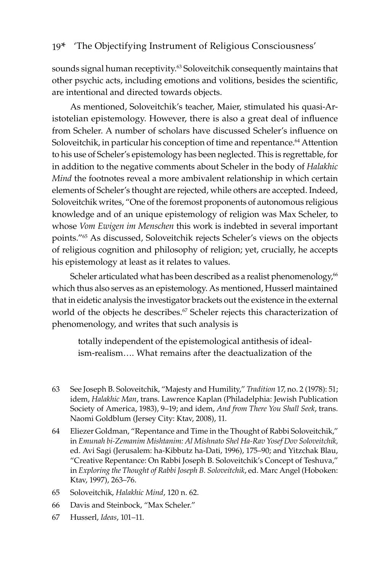sounds signal human receptivity.<sup>63</sup> Soloveitchik consequently maintains that other psychic acts, including emotions and volitions, besides the scientific, are intentional and directed towards objects.

As mentioned, Soloveitchik's teacher, Maier, stimulated his quasi-Aristotelian epistemology. However, there is also a great deal of influence from Scheler. A number of scholars have discussed Scheler's influence on Soloveitchik, in particular his conception of time and repentance.<sup>64</sup> Attention to his use of Scheler's epistemology has been neglected. This is regrettable, for in addition to the negative comments about Scheler in the body of *Halakhic Mind* the footnotes reveal a more ambivalent relationship in which certain elements of Scheler's thought are rejected, while others are accepted. Indeed, Soloveitchik writes, "One of the foremost proponents of autonomous religious knowledge and of an unique epistemology of religion was Max Scheler, to whose *Vom Ewigen im Menschen* this work is indebted in several important points."<sup>65</sup> As discussed, Soloveitchik rejects Scheler's views on the objects of religious cognition and philosophy of religion; yet, crucially, he accepts his epistemology at least as it relates to values.

Scheler articulated what has been described as a realist phenomenology,<sup>66</sup> which thus also serves as an epistemology. As mentioned, Husserl maintained that in eidetic analysis the investigator brackets out the existence in the external world of the objects he describes.<sup>67</sup> Scheler rejects this characterization of phenomenology, and writes that such analysis is

totally independent of the epistemological antithesis of idealism-realism…. What remains after the deactualization of the

- 63 See Joseph B. Soloveitchik, "Majesty and Humility," *Tradition* 17, no. 2 (1978): 51; idem, *Halakhic Man*, trans. Lawrence Kaplan (Philadelphia: Jewish Publication Society of America, 1983), 9–19; and idem, *And from There You Shall Seek*, trans. Naomi Goldblum (Jersey City: Ktav, 2008), 11.
- 64 Eliezer Goldman, "Repentance and Time in the Thought of Rabbi Soloveitchik," in *Emunah bi-Zemanim Mishtanim: Al Mishnato Shel Ha-Rav Yosef Dov Soloveitchik,*  ed. Avi Sagi (Jerusalem: ha-Kibbutz ha-Dati, 1996), 175–90; and Yitzchak Blau, "Creative Repentance: On Rabbi Joseph B. Soloveitchik's Concept of Teshuva," in *Exploring the Thought of Rabbi Joseph B. Soloveitchik*, ed. Marc Angel (Hoboken: Ktav, 1997), 263–76.
- 65 Soloveitchik, *Halakhic Mind*, 120 n. 62.
- 66 Davis and Steinbock, "Max Scheler."
- 67 Husserl, *Ideas*, 101–11.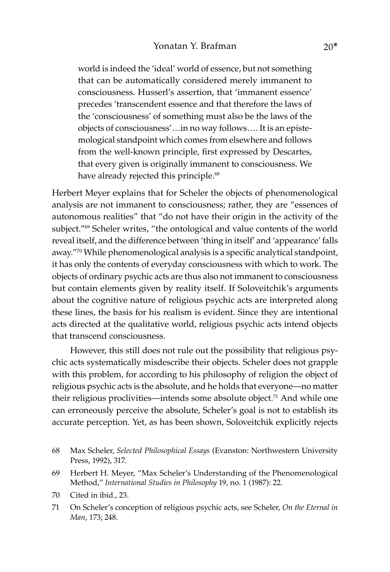world is indeed the 'ideal' world of essence, but not something that can be automatically considered merely immanent to consciousness. Husserl's assertion, that 'immanent essence' precedes 'transcendent essence and that therefore the laws of the 'consciousness' of something must also be the laws of the objects of consciousness'…in no way follows…. It is an epistemological standpoint which comes from elsewhere and follows from the well-known principle, first expressed by Descartes, that every given is originally immanent to consciousness. We have already rejected this principle.<sup>68</sup>

Herbert Meyer explains that for Scheler the objects of phenomenological analysis are not immanent to consciousness; rather, they are "essences of autonomous realities" that "do not have their origin in the activity of the subject."<sup>69</sup> Scheler writes, "the ontological and value contents of the world reveal itself, and the difference between 'thing in itself' and 'appearance' falls away."<sup>70</sup> While phenomenological analysis is a specific analytical standpoint, it has only the contents of everyday consciousness with which to work. The objects of ordinary psychic acts are thus also not immanent to consciousness but contain elements given by reality itself. If Soloveitchik's arguments about the cognitive nature of religious psychic acts are interpreted along these lines, the basis for his realism is evident. Since they are intentional acts directed at the qualitative world, religious psychic acts intend objects that transcend consciousness.

However, this still does not rule out the possibility that religious psychic acts systematically misdescribe their objects. Scheler does not grapple with this problem, for according to his philosophy of religion the object of religious psychic acts is the absolute, and he holds that everyone—no matter their religious proclivities—intends some absolute object.<sup>71</sup> And while one can erroneously perceive the absolute, Scheler's goal is not to establish its accurate perception. Yet, as has been shown, Soloveitchik explicitly rejects

- 68 Max Scheler, *Selected Philosophical Essays* (Evanston: Northwestern University Press, 1992), 317.
- 69 Herbert H. Meyer, "Max Scheler's Understanding of the Phenomenological Method," *International Studies in Philosophy* 19, no. 1 (1987): 22.
- 70 Cited in ibid., 23.
- 71 On Scheler's conception of religious psychic acts, see Scheler, *On the Eternal in Man*, 173; 248.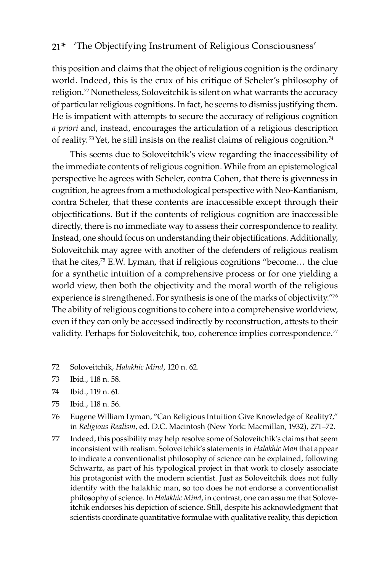this position and claims that the object of religious cognition is the ordinary world. Indeed, this is the crux of his critique of Scheler's philosophy of religion.<sup>72</sup> Nonetheless, Soloveitchik is silent on what warrants the accuracy of particular religious cognitions. In fact, he seems to dismiss justifying them. He is impatient with attempts to secure the accuracy of religious cognition *a priori* and, instead, encourages the articulation of a religious description of reality.<sup>73</sup> Yet, he still insists on the realist claims of religious cognition.<sup>74</sup>

This seems due to Soloveitchik's view regarding the inaccessibility of the immediate contents of religious cognition. While from an epistemological perspective he agrees with Scheler, contra Cohen, that there is givenness in cognition, he agrees from a methodological perspective with Neo-Kantianism, contra Scheler, that these contents are inaccessible except through their objectifications. But if the contents of religious cognition are inaccessible directly, there is no immediate way to assess their correspondence to reality. Instead, one should focus on understanding their objectifications. Additionally, Soloveitchik may agree with another of the defenders of religious realism that he cites, $75$  E.W. Lyman, that if religious cognitions "become... the clue for a synthetic intuition of a comprehensive process or for one yielding a world view, then both the objectivity and the moral worth of the religious experience is strengthened. For synthesis is one of the marks of objectivity."76 The ability of religious cognitions to cohere into a comprehensive worldview, even if they can only be accessed indirectly by reconstruction, attests to their validity. Perhaps for Soloveitchik, too, coherence implies correspondence.<sup>77</sup>

- 72 Soloveitchik, *Halakhic Mind*, 120 n. 62.
- 73 Ibid., 118 n. 58.
- 74 Ibid., 119 n. 61.
- 75 Ibid., 118 n. 56.
- 76 Eugene William Lyman, "Can Religious Intuition Give Knowledge of Reality?," in *Religious Realism*, ed. D.C. Macintosh (New York: Macmillan, 1932), 271–72.
- 77 Indeed, this possibility may help resolve some of Soloveitchik's claims that seem inconsistent with realism. Soloveitchik's statements in *Halakhic Man* that appear to indicate a conventionalist philosophy of science can be explained, following Schwartz, as part of his typological project in that work to closely associate his protagonist with the modern scientist. Just as Soloveitchik does not fully identify with the halakhic man, so too does he not endorse a conventionalist philosophy of science. In *Halakhic Mind*, in contrast, one can assume that Soloveitchik endorses his depiction of science. Still, despite his acknowledgment that scientists coordinate quantitative formulae with qualitative reality, this depiction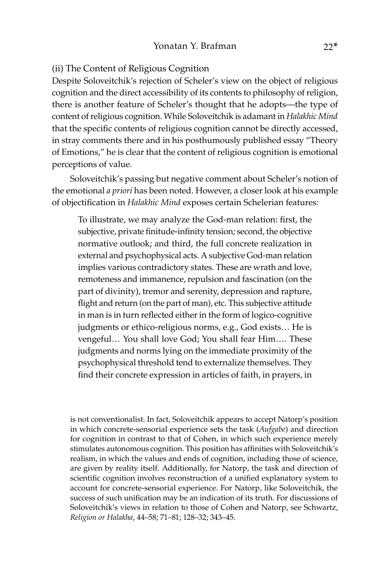#### (ii) The Content of Religious Cognition

Despite Soloveitchik's rejection of Scheler's view on the object of religious cognition and the direct accessibility of its contents to philosophy of religion, there is another feature of Scheler's thought that he adopts—the type of content of religious cognition. While Soloveitchik is adamant in *Halakhic Mind*  that the specific contents of religious cognition cannot be directly accessed, in stray comments there and in his posthumously published essay "Theory of Emotions," he is clear that the content of religious cognition is emotional perceptions of value.

Soloveitchik's passing but negative comment about Scheler's notion of the emotional *a priori* has been noted. However, a closer look at his example of objectification in *Halakhic Mind* exposes certain Schelerian features:

To illustrate, we may analyze the God-man relation: first, the subjective, private finitude-infinity tension; second, the objective normative outlook; and third, the full concrete realization in external and psychophysical acts. A subjective God-man relation implies various contradictory states. These are wrath and love, remoteness and immanence, repulsion and fascination (on the part of divinity), tremor and serenity, depression and rapture, flight and return (on the part of man), etc. This subjective attitude in man is in turn reflected either in the form of logico-cognitive judgments or ethico-religious norms, e.g., God exists… He is vengeful… You shall love God; You shall fear Him…. These judgments and norms lying on the immediate proximity of the psychophysical threshold tend to externalize themselves. They find their concrete expression in articles of faith, in prayers, in

is not conventionalist. In fact, Soloveitchik appears to accept Natorp's position in which concrete-sensorial experience sets the task (*Aufgabe*) and direction for cognition in contrast to that of Cohen, in which such experience merely stimulates autonomous cognition. This position has affinities with Soloveitchik's realism, in which the values and ends of cognition, including those of science, are given by reality itself. Additionally, for Natorp, the task and direction of scientific cognition involves reconstruction of a unified explanatory system to account for concrete-sensorial experience. For Natorp, like Soloveitchik, the success of such unification may be an indication of its truth. For discussions of Soloveitchik's views in relation to those of Cohen and Natorp, see Schwartz, *Religion or Halakha*, 44–58; 71–81; 128–32; 343–45.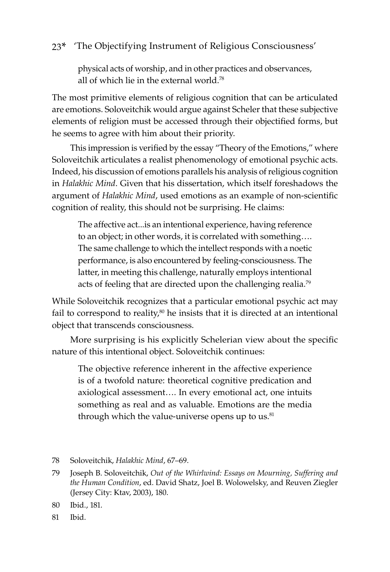physical acts of worship, and in other practices and observances, all of which lie in the external world.<sup>78</sup>

The most primitive elements of religious cognition that can be articulated are emotions. Soloveitchik would argue against Scheler that these subjective elements of religion must be accessed through their objectified forms, but he seems to agree with him about their priority.

This impression is verified by the essay "Theory of the Emotions," where Soloveitchik articulates a realist phenomenology of emotional psychic acts. Indeed, his discussion of emotions parallels his analysis of religious cognition in *Halakhic Mind*. Given that his dissertation, which itself foreshadows the argument of *Halakhic Mind*, used emotions as an example of non-scientific cognition of reality, this should not be surprising. He claims:

The affective act...is an intentional experience, having reference to an object; in other words, it is correlated with something…. The same challenge to which the intellect responds with a noetic performance, is also encountered by feeling-consciousness. The latter, in meeting this challenge, naturally employs intentional acts of feeling that are directed upon the challenging realia.<sup>79</sup>

While Soloveitchik recognizes that a particular emotional psychic act may fail to correspond to reality, $80$  he insists that it is directed at an intentional object that transcends consciousness.

More surprising is his explicitly Schelerian view about the specific nature of this intentional object. Soloveitchik continues:

The objective reference inherent in the affective experience is of a twofold nature: theoretical cognitive predication and axiological assessment…. In every emotional act, one intuits something as real and as valuable. Emotions are the media through which the value-universe opens up to us. $81$ 

81 Ibid.

<sup>78</sup> Soloveitchik, *Halakhic Mind*, 67–69.

<sup>79</sup> Joseph B. Soloveitchik, *Out of the Whirlwind: Essays on Mourning, Suffering and the Human Condition*, ed. David Shatz, Joel B. Wolowelsky, and Reuven Ziegler (Jersey City: Ktav, 2003), 180.

<sup>80</sup> Ibid., 181.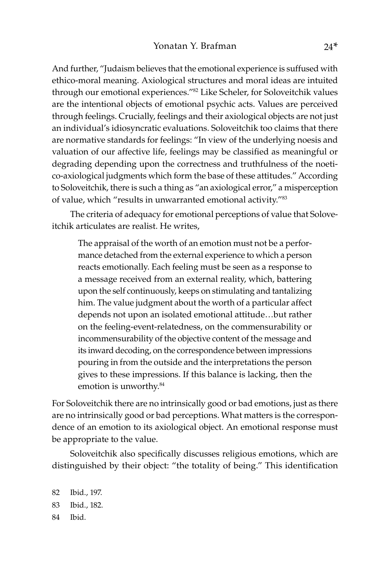And further, "Judaism believes that the emotional experience is suffused with ethico-moral meaning. Axiological structures and moral ideas are intuited through our emotional experiences."82 Like Scheler, for Soloveitchik values are the intentional objects of emotional psychic acts. Values are perceived through feelings. Crucially, feelings and their axiological objects are not just an individual's idiosyncratic evaluations. Soloveitchik too claims that there are normative standards for feelings: "In view of the underlying noesis and valuation of our affective life, feelings may be classified as meaningful or degrading depending upon the correctness and truthfulness of the noetico-axiological judgments which form the base of these attitudes." According to Soloveitchik, there is such a thing as "an axiological error," a misperception of value, which "results in unwarranted emotional activity."83

The criteria of adequacy for emotional perceptions of value that Soloveitchik articulates are realist. He writes,

The appraisal of the worth of an emotion must not be a performance detached from the external experience to which a person reacts emotionally. Each feeling must be seen as a response to a message received from an external reality, which, battering upon the self continuously, keeps on stimulating and tantalizing him. The value judgment about the worth of a particular affect depends not upon an isolated emotional attitude…but rather on the feeling-event-relatedness, on the commensurability or incommensurability of the objective content of the message and its inward decoding, on the correspondence between impressions pouring in from the outside and the interpretations the person gives to these impressions. If this balance is lacking, then the emotion is unworthy.<sup>84</sup>

For Soloveitchik there are no intrinsically good or bad emotions, just as there are no intrinsically good or bad perceptions. What matters is the correspondence of an emotion to its axiological object. An emotional response must be appropriate to the value.

Soloveitchik also specifically discusses religious emotions, which are distinguished by their object: "the totality of being." This identification

82 Ibid., 197. 83 Ibid., 182. 84 Ibid.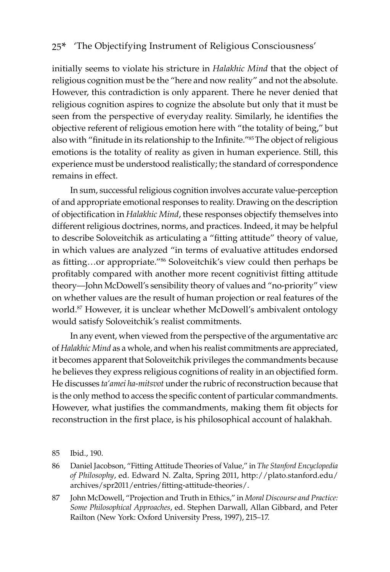initially seems to violate his stricture in *Halakhic Mind* that the object of religious cognition must be the "here and now reality" and not the absolute. However, this contradiction is only apparent. There he never denied that religious cognition aspires to cognize the absolute but only that it must be seen from the perspective of everyday reality. Similarly, he identifies the objective referent of religious emotion here with "the totality of being," but also with "finitude in its relationship to the Infinite."85The object of religious emotions is the totality of reality as given in human experience. Still, this experience must be understood realistically; the standard of correspondence remains in effect.

In sum, successful religious cognition involves accurate value-perception of and appropriate emotional responses to reality. Drawing on the description of objectification in *Halakhic Mind*, these responses objectify themselves into different religious doctrines, norms, and practices. Indeed, it may be helpful to describe Soloveitchik as articulating a "fitting attitude" theory of value, in which values are analyzed "in terms of evaluative attitudes endorsed as fitting…or appropriate."86 Soloveitchik's view could then perhaps be profitably compared with another more recent cognitivist fitting attitude theory—John McDowell's sensibility theory of values and "no-priority" view on whether values are the result of human projection or real features of the world.<sup>87</sup> However, it is unclear whether McDowell's ambivalent ontology would satisfy Soloveitchik's realist commitments.

In any event, when viewed from the perspective of the argumentative arc of *Halakhic Mind* as a whole, and when his realist commitments are appreciated, it becomes apparent that Soloveitchik privileges the commandments because he believes they express religious cognitions of reality in an objectified form. He discusses *ta'amei ha*-*mitsvot* under the rubric of reconstruction because that is the only method to access the specific content of particular commandments. However, what justifies the commandments, making them fit objects for reconstruction in the first place, is his philosophical account of halakhah.

<sup>85</sup> Ibid., 190.

<sup>86</sup> Daniel Jacobson, "Fitting Attitude Theories of Value," in *The Stanford Encyclopedia of Philosophy*, ed. Edward N. Zalta, Spring 2011, http://plato.stanford.edu/ archives/spr2011/entries/fitting-attitude-theories/.

<sup>87</sup> John McDowell, "Projection and Truth in Ethics," in *Moral Discourse and Practice: Some Philosophical Approaches*, ed. Stephen Darwall, Allan Gibbard, and Peter Railton (New York: Oxford University Press, 1997), 215–17.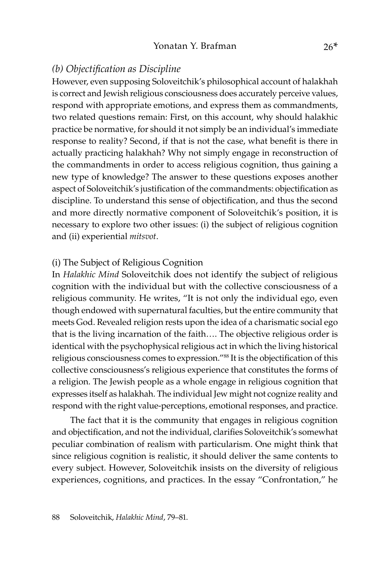#### *(b) Objectification as Discipline*

However, even supposing Soloveitchik's philosophical account of halakhah is correct and Jewish religious consciousness does accurately perceive values, respond with appropriate emotions, and express them as commandments, two related questions remain: First, on this account, why should halakhic practice be normative, for should it not simply be an individual's immediate response to reality? Second, if that is not the case, what benefit is there in actually practicing halakhah? Why not simply engage in reconstruction of the commandments in order to access religious cognition, thus gaining a new type of knowledge? The answer to these questions exposes another aspect of Soloveitchik's justification of the commandments: objectification as discipline. To understand this sense of objectification, and thus the second and more directly normative component of Soloveitchik's position, it is necessary to explore two other issues: (i) the subject of religious cognition and (ii) experiential *mitsvot*.

#### (i) The Subject of Religious Cognition

In *Halakhic Mind* Soloveitchik does not identify the subject of religious cognition with the individual but with the collective consciousness of a religious community. He writes, "It is not only the individual ego, even though endowed with supernatural faculties, but the entire community that meets God. Revealed religion rests upon the idea of a charismatic social ego that is the living incarnation of the faith…. The objective religious order is identical with the psychophysical religious act in which the living historical religious consciousness comes to expression."88 It is the objectification of this collective consciousness's religious experience that constitutes the forms of a religion. The Jewish people as a whole engage in religious cognition that expresses itself as halakhah. The individual Jew might not cognize reality and respond with the right value-perceptions, emotional responses, and practice.

The fact that it is the community that engages in religious cognition and objectification, and not the individual, clarifies Soloveitchik's somewhat peculiar combination of realism with particularism. One might think that since religious cognition is realistic, it should deliver the same contents to every subject. However, Soloveitchik insists on the diversity of religious experiences, cognitions, and practices. In the essay "Confrontation," he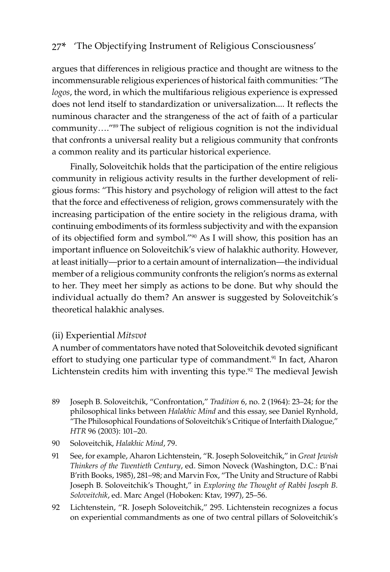argues that differences in religious practice and thought are witness to the incommensurable religious experiences of historical faith communities: "The *logos*, the word, in which the multifarious religious experience is expressed does not lend itself to standardization or universalization.... It reflects the numinous character and the strangeness of the act of faith of a particular community…."<sup>89</sup> The subject of religious cognition is not the individual that confronts a universal reality but a religious community that confronts a common reality and its particular historical experience.

Finally, Soloveitchik holds that the participation of the entire religious community in religious activity results in the further development of religious forms: "This history and psychology of religion will attest to the fact that the force and effectiveness of religion, grows commensurately with the increasing participation of the entire society in the religious drama, with continuing embodiments of its formless subjectivity and with the expansion of its objectified form and symbol."90 As I will show, this position has an important influence on Soloveitchik's view of halakhic authority. However, at least initially—prior to a certain amount of internalization—the individual member of a religious community confronts the religion's norms as external to her. They meet her simply as actions to be done. But why should the individual actually do them? An answer is suggested by Soloveitchik's theoretical halakhic analyses.

#### (ii) Experiential *Mitsvot*

A number of commentators have noted that Soloveitchik devoted significant effort to studying one particular type of commandment.<sup>91</sup> In fact, Aharon Lichtenstein credits him with inventing this type.<sup>92</sup> The medieval Jewish

- 89 Joseph B. Soloveitchik, "Confrontation," *Tradition* 6, no. 2 (1964): 23–24; for the philosophical links between *Halakhic Mind* and this essay, see Daniel Rynhold, "The Philosophical Foundations of Soloveitchik's Critique of Interfaith Dialogue," *HTR* 96 (2003): 101–20.
- 90 Soloveitchik, *Halakhic Mind*, 79.
- 91 See, for example, Aharon Lichtenstein, "R. Joseph Soloveitchik," in *Great Jewish Thinkers of the Twentieth Century*, ed. Simon Noveck (Washington, D.C.: B'nai B'rith Books, 1985), 281–98; and Marvin Fox, "The Unity and Structure of Rabbi Joseph B. Soloveitchik's Thought," in *Exploring the Thought of Rabbi Joseph B. Soloveitchik*, ed. Marc Angel (Hoboken: Ktav, 1997), 25–56.
- 92 Lichtenstein, "R. Joseph Soloveitchik," 295. Lichtenstein recognizes a focus on experiential commandments as one of two central pillars of Soloveitchik's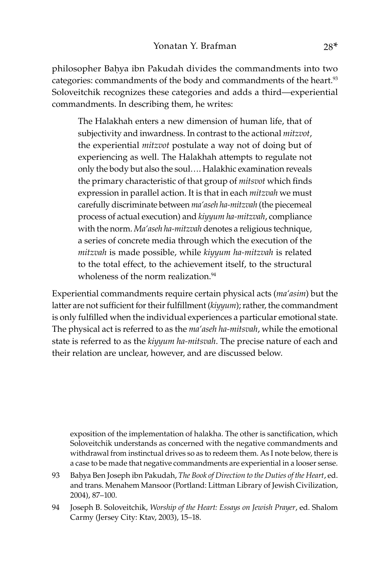philosopher Baḥya ibn Pakudah divides the commandments into two categories: commandments of the body and commandments of the heart.<sup>93</sup> Soloveitchik recognizes these categories and adds a third—experiential commandments. In describing them, he writes:

The Halakhah enters a new dimension of human life, that of subjectivity and inwardness. In contrast to the actional *mitzvot*, the experiential *mitzvot* postulate a way not of doing but of experiencing as well. The Halakhah attempts to regulate not only the body but also the soul…. Halakhic examination reveals the primary characteristic of that group of *mitsvot* which finds expression in parallel action. It is that in each *mitzvah* we must carefully discriminate between *ma'aseh ha-mitzvah* (the piecemeal process of actual execution) and *kiyyum ha-mitzvah*, compliance with the norm. *Ma'aseh ha-mitzvah* denotes a religious technique, a series of concrete media through which the execution of the *mitzvah* is made possible, while *kiyyum ha-mitzvah* is related to the total effect, to the achievement itself, to the structural wholeness of the norm realization.<sup>94</sup>

Experiential commandments require certain physical acts (*ma'asim*) but the latter are not sufficient for their fulfillment (*kiyyum*); rather, the commandment is only fulfilled when the individual experiences a particular emotional state. The physical act is referred to as the *ma'aseh ha-mitsvah*, while the emotional state is referred to as the *kiyyum ha-mitsvah*. The precise nature of each and their relation are unclear, however, and are discussed below.

exposition of the implementation of halakha. The other is sanctification, which Soloveitchik understands as concerned with the negative commandments and withdrawal from instinctual drives so as to redeem them. As I note below, there is a case to be made that negative commandments are experiential in a looser sense.

- 93 Baḥya Ben Joseph ibn Pakudah, *The Book of Direction to the Duties of the Heart*, ed. and trans. Menahem Mansoor (Portland: Littman Library of Jewish Civilization, 2004), 87–100.
- 94 Joseph B. Soloveitchik, *Worship of the Heart: Essays on Jewish Prayer*, ed. Shalom Carmy (Jersey City: Ktav, 2003), 15–18.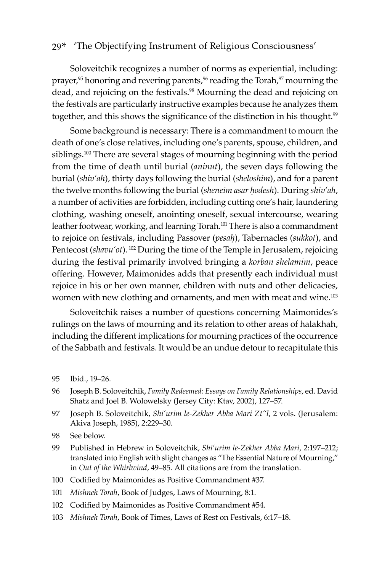Soloveitchik recognizes a number of norms as experiential, including: prayer,<sup>95</sup> honoring and revering parents,<sup>96</sup> reading the Torah,<sup>97</sup> mourning the dead, and rejoicing on the festivals.<sup>98</sup> Mourning the dead and rejoicing on the festivals are particularly instructive examples because he analyzes them together, and this shows the significance of the distinction in his thought.<sup>99</sup>

Some background is necessary: There is a commandment to mourn the death of one's close relatives, including one's parents, spouse, children, and siblings.<sup>100</sup> There are several stages of mourning beginning with the period from the time of death until burial (*aninut*), the seven days following the burial (*shiv'ah*), thirty days following the burial (*sheloshim*), and for a parent the twelve months following the burial (*sheneim asar ḥodesh*). During *shiv'ah*, a number of activities are forbidden, including cutting one's hair, laundering clothing, washing oneself, anointing oneself, sexual intercourse, wearing leather footwear, working, and learning Torah.<sup>101</sup> There is also a commandment to rejoice on festivals, including Passover (*pesaḥ*), Tabernacles (*sukkot*), and Pentecost (*shavu'ot*). 102 During the time of the Temple in Jerusalem, rejoicing during the festival primarily involved bringing a *korban shelamim*, peace offering. However, Maimonides adds that presently each individual must rejoice in his or her own manner, children with nuts and other delicacies, women with new clothing and ornaments, and men with meat and wine.<sup>103</sup>

Soloveitchik raises a number of questions concerning Maimonides's rulings on the laws of mourning and its relation to other areas of halakhah, including the different implications for mourning practices of the occurrence of the Sabbath and festivals. It would be an undue detour to recapitulate this

- 96 Joseph B. Soloveitchik, *Family Redeemed: Essays on Family Relationships*, ed. David Shatz and Joel B. Wolowelsky (Jersey City: Ktav, 2002), 127–57.
- 97 Joseph B. Soloveitchik, *Shi'urim le-Zekher Abba Mari Zt"l*, 2 vols. (Jerusalem: Akiva Joseph, 1985), 2:229–30.
- 98 See below.
- 99 Published in Hebrew in Soloveitchik, *Shi'urim le-Zekher Abba Mari*, 2:197–212; translated into English with slight changes as "The Essential Nature of Mourning," in *Out of the Whirlwind*, 49–85. All citations are from the translation.
- 100 Codified by Maimonides as Positive Commandment #37.
- 101 *Mishneh Torah*, Book of Judges, Laws of Mourning, 8:1.
- 102 Codified by Maimonides as Positive Commandment #54.
- 103 *Mishneh Torah*, Book of Times, Laws of Rest on Festivals, 6:17–18.

<sup>95</sup> Ibid., 19–26.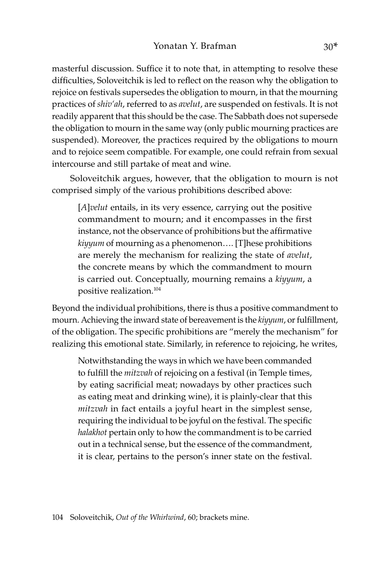masterful discussion. Suffice it to note that, in attempting to resolve these difficulties, Soloveitchik is led to reflect on the reason why the obligation to rejoice on festivals supersedes the obligation to mourn, in that the mourning practices of *shiv'ah*, referred to as *avelut*, are suspended on festivals. It is not readily apparent that this should be the case. The Sabbath does not supersede the obligation to mourn in the same way (only public mourning practices are suspended). Moreover, the practices required by the obligations to mourn and to rejoice seem compatible. For example, one could refrain from sexual intercourse and still partake of meat and wine.

Soloveitchik argues, however, that the obligation to mourn is not comprised simply of the various prohibitions described above:

[*A*]*velut* entails, in its very essence, carrying out the positive commandment to mourn; and it encompasses in the first instance, not the observance of prohibitions but the affirmative *kiyyum* of mourning as a phenomenon…. [T]hese prohibitions are merely the mechanism for realizing the state of *avelut*, the concrete means by which the commandment to mourn is carried out. Conceptually, mourning remains a *kiyyum*, a positive realization.104

Beyond the individual prohibitions, there is thus a positive commandment to mourn. Achieving the inward state of bereavement is the *kiyyum*, or fulfillment, of the obligation. The specific prohibitions are "merely the mechanism" for realizing this emotional state. Similarly, in reference to rejoicing, he writes,

Notwithstanding the ways in which we have been commanded to fulfill the *mitzvah* of rejoicing on a festival (in Temple times, by eating sacrificial meat; nowadays by other practices such as eating meat and drinking wine), it is plainly-clear that this *mitzvah* in fact entails a joyful heart in the simplest sense, requiring the individual to be joyful on the festival. The specific *halakhot* pertain only to how the commandment is to be carried out in a technical sense, but the essence of the commandment, it is clear, pertains to the person's inner state on the festival.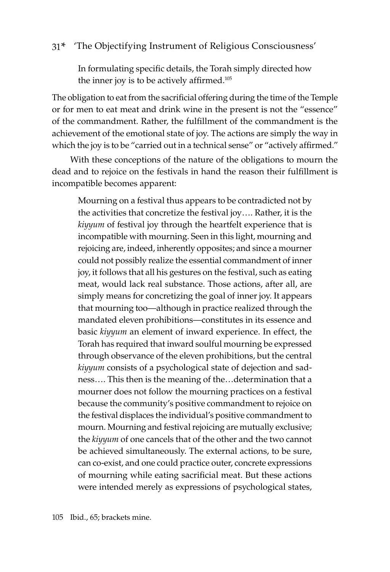In formulating specific details, the Torah simply directed how the inner joy is to be actively affirmed.<sup>105</sup>

The obligation to eat from the sacrificial offering during the time of the Temple or for men to eat meat and drink wine in the present is not the "essence" of the commandment. Rather, the fulfillment of the commandment is the achievement of the emotional state of joy. The actions are simply the way in which the joy is to be "carried out in a technical sense" or "actively affirmed."

With these conceptions of the nature of the obligations to mourn the dead and to rejoice on the festivals in hand the reason their fulfillment is incompatible becomes apparent:

Mourning on a festival thus appears to be contradicted not by the activities that concretize the festival joy…. Rather, it is the *kiyyum* of festival joy through the heartfelt experience that is incompatible with mourning. Seen in this light, mourning and rejoicing are, indeed, inherently opposites; and since a mourner could not possibly realize the essential commandment of inner joy, it follows that all his gestures on the festival, such as eating meat, would lack real substance. Those actions, after all, are simply means for concretizing the goal of inner joy. It appears that mourning too—although in practice realized through the mandated eleven prohibitions—constitutes in its essence and basic *kiyyum* an element of inward experience. In effect, the Torah has required that inward soulful mourning be expressed through observance of the eleven prohibitions, but the central *kiyyum* consists of a psychological state of dejection and sadness…. This then is the meaning of the…determination that a mourner does not follow the mourning practices on a festival because the community's positive commandment to rejoice on the festival displaces the individual's positive commandment to mourn. Mourning and festival rejoicing are mutually exclusive; the *kiyyum* of one cancels that of the other and the two cannot be achieved simultaneously. The external actions, to be sure, can co-exist, and one could practice outer, concrete expressions of mourning while eating sacrificial meat. But these actions were intended merely as expressions of psychological states,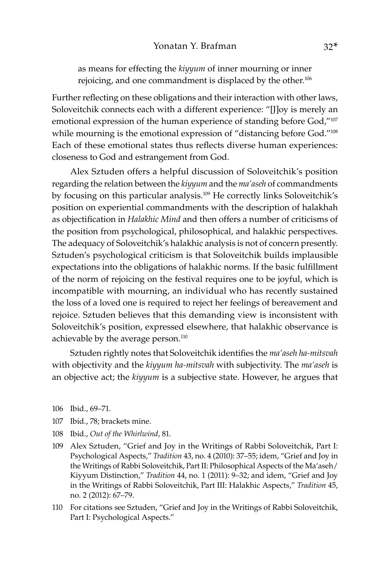as means for effecting the *kiyyum* of inner mourning or inner rejoicing, and one commandment is displaced by the other.<sup>106</sup>

Further reflecting on these obligations and their interaction with other laws, Soloveitchik connects each with a different experience: "[J]oy is merely an emotional expression of the human experience of standing before God,"<sup>107</sup> while mourning is the emotional expression of "distancing before God."<sup>108</sup> Each of these emotional states thus reflects diverse human experiences: closeness to God and estrangement from God.

Alex Sztuden offers a helpful discussion of Soloveitchik's position regarding the relation between the *kiyyum* and the *ma'aseh* of commandments by focusing on this particular analysis.<sup>109</sup> He correctly links Soloveitchik's position on experiential commandments with the description of halakhah as objectification in *Halakhic Mind* and then offers a number of criticisms of the position from psychological, philosophical, and halakhic perspectives. The adequacy of Soloveitchik's halakhic analysis is not of concern presently. Sztuden's psychological criticism is that Soloveitchik builds implausible expectations into the obligations of halakhic norms. If the basic fulfillment of the norm of rejoicing on the festival requires one to be joyful, which is incompatible with mourning, an individual who has recently sustained the loss of a loved one is required to reject her feelings of bereavement and rejoice. Sztuden believes that this demanding view is inconsistent with Soloveitchik's position, expressed elsewhere, that halakhic observance is achievable by the average person.<sup>110</sup>

Sztuden rightly notes that Soloveitchik identifies the *ma'aseh ha-mitsvah* with objectivity and the *kiyyum ha-mitsvah* with subjectivity. The *ma'aseh* is an objective act; the *kiyyum* is a subjective state. However, he argues that

106 Ibid., 69–71.

- 107 Ibid., 78; brackets mine.
- 108 Ibid., *Out of the Whirlwind*, 81.
- 109 Alex Sztuden, "Grief and Joy in the Writings of Rabbi Soloveitchik, Part I: Psychological Aspects," *Tradition* 43, no. 4 (2010): 37–55; idem, "Grief and Joy in the Writings of Rabbi Soloveitchik, Part II: Philosophical Aspects of the Ma'aseh/ Kiyyum Distinction," *Tradition* 44, no. 1 (2011): 9–32; and idem, "Grief and Joy in the Writings of Rabbi Soloveitchik, Part III: Halakhic Aspects," *Tradition* 45, no. 2 (2012): 67–79.
- 110 For citations see Sztuden, "Grief and Joy in the Writings of Rabbi Soloveitchik, Part I: Psychological Aspects."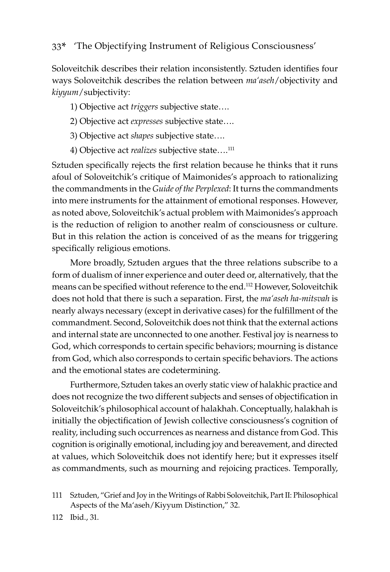Soloveitchik describes their relation inconsistently. Sztuden identifies four ways Soloveitchik describes the relation between *ma'aseh*/objectivity and *kiyyum*/subjectivity:

1) Objective act *triggers* subjective state….

- 2) Objective act *expresses* subjective state….
- 3) Objective act *shapes* subjective state….
- 4) Objective act *realizes* subjective state....<sup>111</sup>

Sztuden specifically rejects the first relation because he thinks that it runs afoul of Soloveitchik's critique of Maimonides's approach to rationalizing the commandments in the *Guide of the Perplexed*: It turns the commandments into mere instruments for the attainment of emotional responses. However, as noted above, Soloveitchik's actual problem with Maimonides's approach is the reduction of religion to another realm of consciousness or culture. But in this relation the action is conceived of as the means for triggering specifically religious emotions.

More broadly, Sztuden argues that the three relations subscribe to a form of dualism of inner experience and outer deed or, alternatively, that the means can be specified without reference to the end.112 However, Soloveitchik does not hold that there is such a separation. First, the *ma'aseh ha-mitsvah* is nearly always necessary (except in derivative cases) for the fulfillment of the commandment. Second, Soloveitchik does not think that the external actions and internal state are unconnected to one another. Festival joy is nearness to God, which corresponds to certain specific behaviors; mourning is distance from God, which also corresponds to certain specific behaviors. The actions and the emotional states are codetermining.

Furthermore, Sztuden takes an overly static view of halakhic practice and does not recognize the two different subjects and senses of objectification in Soloveitchik's philosophical account of halakhah. Conceptually, halakhah is initially the objectification of Jewish collective consciousness's cognition of reality, including such occurrences as nearness and distance from God. This cognition is originally emotional, including joy and bereavement, and directed at values, which Soloveitchik does not identify here; but it expresses itself as commandments, such as mourning and rejoicing practices. Temporally,

- 111 Sztuden, "Grief and Joy in the Writings of Rabbi Soloveitchik, Part II: Philosophical Aspects of the Ma'aseh/Kiyyum Distinction," 32.
- 112 Ibid., 31.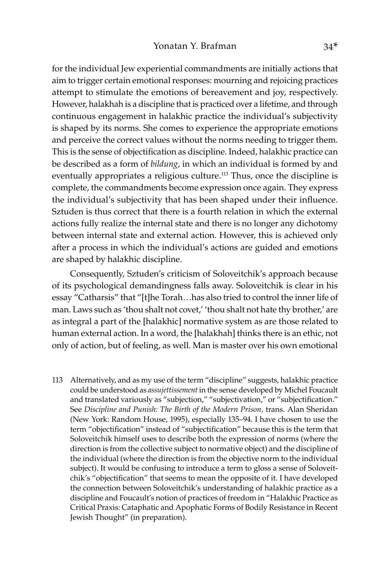for the individual Jew experiential commandments are initially actions that aim to trigger certain emotional responses: mourning and rejoicing practices attempt to stimulate the emotions of bereavement and joy, respectively. However, halakhah is a discipline that is practiced over a lifetime, and through continuous engagement in halakhic practice the individual's subjectivity is shaped by its norms. She comes to experience the appropriate emotions and perceive the correct values without the norms needing to trigger them. This is the sense of objectification as discipline. Indeed, halakhic practice can be described as a form of *bildung*, in which an individual is formed by and eventually appropriates a religious culture.<sup>113</sup> Thus, once the discipline is complete, the commandments become expression once again. They express the individual's subjectivity that has been shaped under their influence. Sztuden is thus correct that there is a fourth relation in which the external actions fully realize the internal state and there is no longer any dichotomy between internal state and external action. However, this is achieved only after a process in which the individual's actions are guided and emotions are shaped by halakhic discipline.

Consequently, Sztuden's criticism of Soloveitchik's approach because of its psychological demandingness falls away. Soloveitchik is clear in his essay "Catharsis" that "[t]he Torah…has also tried to control the inner life of man. Laws such as 'thou shalt not covet,' 'thou shalt not hate thy brother,' are as integral a part of the [halakhic] normative system as are those related to human external action. In a word, the [halakhah] thinks there is an ethic, not only of action, but of feeling, as well. Man is master over his own emotional

113 Alternatively, and as my use of the term "discipline" suggests, halakhic practice could be understood as *assujettissement* in the sense developed by Michel Foucault and translated variously as "subjection," "subjectivation," or "subjectification." See *Discipline and Punish: The Birth of the Modern Prison,* trans. Alan Sheridan (New York: Random House, 1995), especially 135–94. I have chosen to use the term "objectification" instead of "subjectification" because this is the term that Soloveitchik himself uses to describe both the expression of norms (where the direction is from the collective subject to normative object) and the discipline of the individual (where the direction is from the objective norm to the individual subject). It would be confusing to introduce a term to gloss a sense of Soloveitchik's "objectification" that seems to mean the opposite of it. I have developed the connection between Soloveitchik's understanding of halakhic practice as a discipline and Foucault's notion of practices of freedom in "Halakhic Practice as Critical Praxis: Cataphatic and Apophatic Forms of Bodily Resistance in Recent Jewish Thought" (in preparation).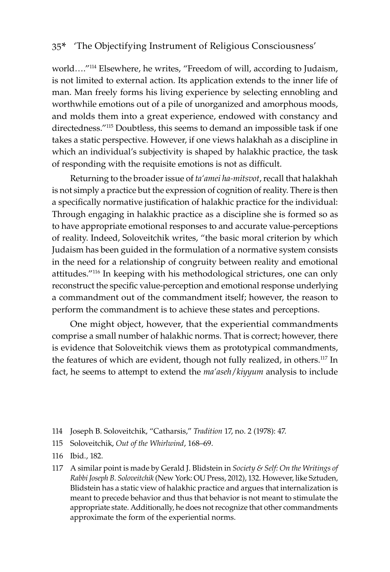world…."114 Elsewhere, he writes, "Freedom of will, according to Judaism, is not limited to external action. Its application extends to the inner life of man. Man freely forms his living experience by selecting ennobling and worthwhile emotions out of a pile of unorganized and amorphous moods, and molds them into a great experience, endowed with constancy and directedness."115 Doubtless, this seems to demand an impossible task if one takes a static perspective. However, if one views halakhah as a discipline in which an individual's subjectivity is shaped by halakhic practice, the task of responding with the requisite emotions is not as difficult.

Returning to the broader issue of *ta'amei ha-mitsvot*, recall that halakhah is not simply a practice but the expression of cognition of reality. There is then a specifically normative justification of halakhic practice for the individual: Through engaging in halakhic practice as a discipline she is formed so as to have appropriate emotional responses to and accurate value-perceptions of reality. Indeed, Soloveitchik writes, "the basic moral criterion by which Judaism has been guided in the formulation of a normative system consists in the need for a relationship of congruity between reality and emotional attitudes."<sup>116</sup> In keeping with his methodological strictures, one can only reconstruct the specific value-perception and emotional response underlying a commandment out of the commandment itself; however, the reason to perform the commandment is to achieve these states and perceptions.

One might object, however, that the experiential commandments comprise a small number of halakhic norms. That is correct; however, there is evidence that Soloveitchik views them as prototypical commandments, the features of which are evident, though not fully realized, in others.117 In fact, he seems to attempt to extend the *ma'aseh*/*kiyyum* analysis to include

- 114 Joseph B. Soloveitchik, "Catharsis," *Tradition* 17, no. 2 (1978): 47.
- 115 Soloveitchik, *Out of the Whirlwind*, 168–69.
- 116 Ibid., 182.
- 117 A similar point is made by Gerald J. Blidstein in *Society & Self: On the Writings of Rabbi Joseph B. Soloveitchik* (New York: OU Press, 2012), 132. However, like Sztuden, Blidstein has a static view of halakhic practice and argues that internalization is meant to precede behavior and thus that behavior is not meant to stimulate the appropriate state. Additionally, he does not recognize that other commandments approximate the form of the experiential norms.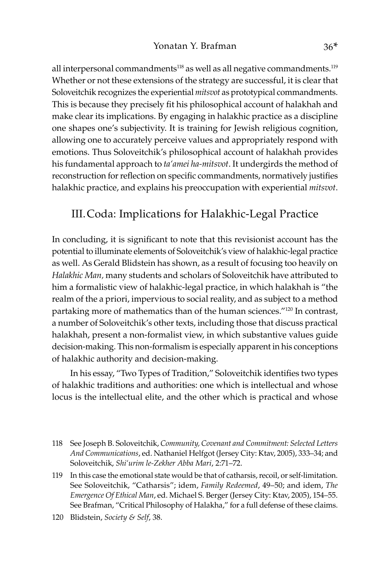all interpersonal commandments<sup>118</sup> as well as all negative commandments.<sup>119</sup> Whether or not these extensions of the strategy are successful, it is clear that Soloveitchik recognizes the experiential *mitsvot* as prototypical commandments. This is because they precisely fit his philosophical account of halakhah and make clear its implications. By engaging in halakhic practice as a discipline one shapes one's subjectivity. It is training for Jewish religious cognition, allowing one to accurately perceive values and appropriately respond with emotions. Thus Soloveitchik's philosophical account of halakhah provides his fundamental approach to *ta'amei ha-mitsvot*. It undergirds the method of reconstruction for reflection on specific commandments, normatively justifies halakhic practice, and explains his preoccupation with experiential *mitsvot*.

# III.Coda: Implications for Halakhic-Legal Practice

In concluding, it is significant to note that this revisionist account has the potential to illuminate elements of Soloveitchik's view of halakhic-legal practice as well. As Gerald Blidstein has shown, as a result of focusing too heavily on *Halakhic Man,* many students and scholars of Soloveitchik have attributed to him a formalistic view of halakhic-legal practice, in which halakhah is "the realm of the a priori, impervious to social reality, and as subject to a method partaking more of mathematics than of the human sciences."120 In contrast, a number of Soloveitchik's other texts, including those that discuss practical halakhah, present a non-formalist view, in which substantive values guide decision-making. This non-formalism is especially apparent in his conceptions of halakhic authority and decision-making.

In his essay, "Two Types of Tradition," Soloveitchik identifies two types of halakhic traditions and authorities: one which is intellectual and whose locus is the intellectual elite, and the other which is practical and whose

<sup>118</sup> See Joseph B. Soloveitchik, *Community, Covenant and Commitment: Selected Letters And Communications*, ed. Nathaniel Helfgot (Jersey City: Ktav, 2005), 333–34; and Soloveitchik, *Shi'urim le-Zekher Abba Mari*, 2:71–72.

<sup>119</sup> In this case the emotional state would be that of catharsis, recoil, or self-limitation. See Soloveitchik, "Catharsis"; idem, *Family Redeemed*, 49–50; and idem, *The Emergence Of Ethical Man*, ed. Michael S. Berger (Jersey City: Ktav, 2005), 154–55. See Brafman, "Critical Philosophy of Halakha," for a full defense of these claims.

<sup>120</sup> Blidstein, *Society & Self*, 38.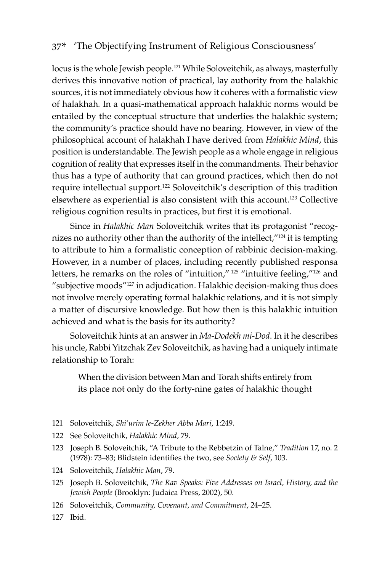locus is the whole Jewish people.121 While Soloveitchik, as always, masterfully derives this innovative notion of practical, lay authority from the halakhic sources, it is not immediately obvious how it coheres with a formalistic view of halakhah*.* In a quasi-mathematical approach halakhic norms would be entailed by the conceptual structure that underlies the halakhic system; the community's practice should have no bearing. However, in view of the philosophical account of halakhah I have derived from *Halakhic Mind*, this position is understandable. The Jewish people as a whole engage in religious cognition of reality that expresses itself in the commandments. Their behavior thus has a type of authority that can ground practices, which then do not require intellectual support.122 Soloveitchik's description of this tradition elsewhere as experiential is also consistent with this account.<sup>123</sup> Collective religious cognition results in practices, but first it is emotional.

Since in *Halakhic Man* Soloveitchik writes that its protagonist "recognizes no authority other than the authority of the intellect,"124 it is tempting to attribute to him a formalistic conception of rabbinic decision-making. However, in a number of places, including recently published responsa letters, he remarks on the roles of "intuition," 125 "intuitive feeling,"<sup>126</sup> and "subjective moods"127 in adjudication. Halakhic decision-making thus does not involve merely operating formal halakhic relations, and it is not simply a matter of discursive knowledge. But how then is this halakhic intuition achieved and what is the basis for its authority?

Soloveitchik hints at an answer in *Ma-Dodekh mi-Dod*. In it he describes his uncle, Rabbi Yitzchak Zev Soloveitchik, as having had a uniquely intimate relationship to Torah:

When the division between Man and Torah shifts entirely from its place not only do the forty-nine gates of halakhic thought

- 121 Soloveitchik, *Shi'urim le-Zekher Abba Mari*, 1:249.
- 122 See Soloveitchik, *Halakhic Mind*, 79.
- 123 Joseph B. Soloveitchik, "A Tribute to the Rebbetzin of Talne," *Tradition* 17, no. 2 (1978): 73–83; Blidstein identifies the two, see *Society & Self*, 103.
- 124 Soloveitchik, *Halakhic Man*, 79.
- 125 Joseph B. Soloveitchik, *The Rav Speaks: Five Addresses on Israel, History, and the Jewish People* (Brooklyn: Judaica Press, 2002), 50.
- 126 Soloveitchik, *Community, Covenant, and Commitment*, 24–25.
- 127 Ibid.